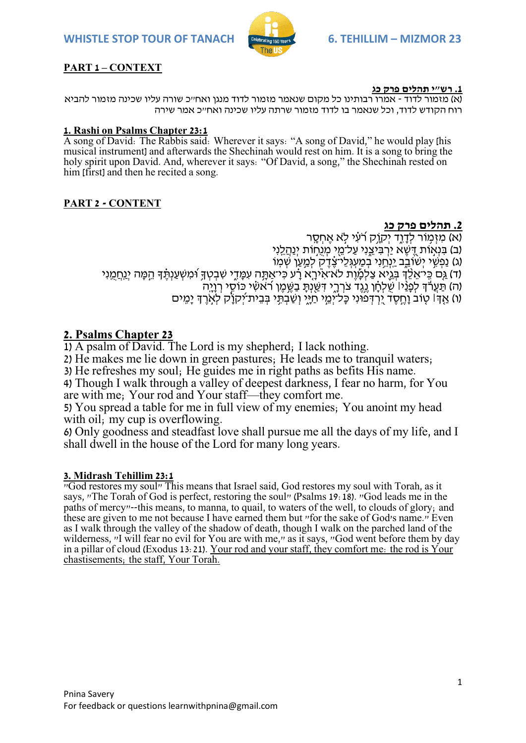**WHISTLE STOP TOUR OF TANACH <b>CONDUCTS** CONSIDER STATISTIC MIZMOR 23



## **PART 1 – CONTEXT**

#### **.1 רש"י תהלים פרק כג**

)א( מזמור לדוד - אמרו רבותינו כל מקום שנאמר מזמור לדוד מנגן ואח"כ שורה עליו שכינה מזמור להביא רוח הקודש לדוד, וכל שנאמר בו לדוד מזמור שרתה עליו שכינה ואח"כ אמר שירה

#### **1. Rashi on Psalms Chapter 23:1**

A song of David: The Rabbis said: Wherever it says: "A song of David," he would play [his musical instrument] and afterwards the Shechinah would rest on him. It is a song to bring the holy spirit upon David. And, wherever it says: "Of David, a song," the Shechinah rested on him [first] and then he recited a song.

## **PART 2 - CONTENT**

## **.2 תהלים פרק כג**

(א) מזמור לדוד יקוֹק רוֹעִי לֹא אחסר (ב) בּנִאוֹת דִּשָׁא יִרְבִיצני עַל־מֵי מֵנְחוֹת ינהְלְנֵי (ג) נַפְשֶׁי יִשִּׁוֹבֵב יַנְחֲנִי בְמַעֲגֶלֵי-צָדֶק לְמַעֵּן שְׁמַוֹ (ד) גַּם כֵּי־אֱלֵדְ בִּגֵיא צַלְמֶוֶת לֹא־אִיּרָא רַ֫ע כִּי־אַתַּה עִמַּדִי שִׁבְטִדְּ וֹמִשְׁעַנְתֵּ֫דְּ הֵמֵּה יִנַחֲמַנִי (ה) תַּעֲר៏דְ לְפָנֵ֫י שַׁלְחָ גֶנֶד צֹרְרֶי דִשַׂיְתָ בַשֶּׁמֶן רֹאשִׁי כֹּוֹסִי רְוָיֶה) )ו( אַ ַּ֤ ְך׀ טַּ֤ ֹוב וָחֶ ֹ֣ סֶ ד יִֶּ֭ רְ דְ פונִי כָל־יְמ ֹ֣ י חַ יָ ִ֑י וְ שַ בְ תִ ֥ י בְ ב ית־יְֹ֝ קֹוִָ֗ק לְא ֹ֣ רֶ ְך יָמִ ָֽ ים

# **2. Psalms Chapter 23**

1) A psalm of David. The Lord is my shepherd; I lack nothing.

2) He makes me lie down in green pastures; He leads me to tranquil waters;

3) He refreshes my soul; He guides me in right paths as befits His name.

4) Though I walk through a valley of deepest darkness, I fear no harm, for You are with me; Your rod and Your staff—they comfort me.

5) You spread a table for me in full view of my enemies; You anoint my head with oil; my cup is overflowing.

6) Only goodness and steadfast love shall pursue me all the days of my life, and I shall dwell in the house of the Lord for many long years.

## **3. Midrash Tehillim 23:1**

"God restores my soul" This means that Israel said, God restores my soul with Torah, as it says, "The Torah of God is perfect, restoring the soul" (Psalms 19:18). "God leads me in the paths of mercy"--this means, to manna, to quail, to waters of the well, to clouds of glory; and these are given to me not because I have earned them but "for the sake of God's name." Even as I walk through the valley of the shadow of death, though I walk on the parched land of the wilderness, "I will fear no evil for You are with me," as it says, "God went before them by day in a pillar of cloud (Exodus 13:21). Your rod and your staff, they comfort me: the rod is Your chastisements; the staff, Your Torah.